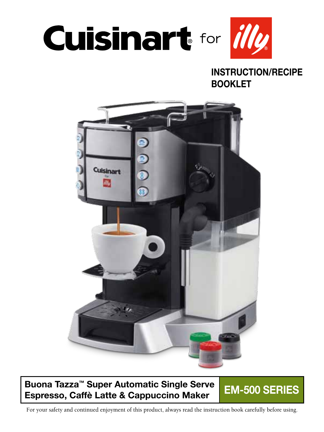

### INSTRUCTION/RECIPE BOOKLET



### Buona Tazza™ Super Automatic Single Serve Buona Tazza Super Automatic Single Serve<br>Espresso, Caffè Latte & Cappuccino Maker

For your safety and continued enjoyment of this product, always read the instruction book carefully before using.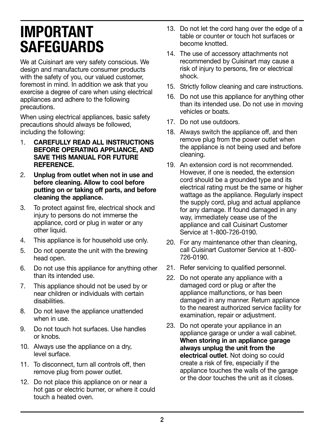# IMPORTANT SAFEGUARDS

We at Cuisinart are very safety conscious. We design and manufacture consumer products with the safety of you, our valued customer, foremost in mind. In addition we ask that you exercise a degree of care when using electrical appliances and adhere to the following precautions.

When using electrical appliances, basic safety precautions should always be followed, including the following:

- 1. CAREFULLY READ ALL INSTRUCTIONS BEFORE OPERATING APPLIANCE, AND SAVE THIS MANUAL FOR FUTURE REFERENCE.
- 2. Unplug from outlet when not in use and before cleaning. Allow to cool before putting on or taking off parts, and before cleaning the appliance.
- 3. To protect against fire, electrical shock and injury to persons do not immerse the appliance, cord or plug in water or any other liquid.
- 4. This appliance is for household use only.
- 5. Do not operate the unit with the brewing head open.
- 6. Do not use this appliance for anything other than its intended use.
- 7. This appliance should not be used by or near children or individuals with certain disabilities.
- 8. Do not leave the appliance unattended when in use.
- 9. Do not touch hot surfaces. Use handles or knobs.
- 10. Always use the appliance on a dry, level surface.
- 11. To disconnect, turn all controls off, then remove plug from power outlet.
- 12. Do not place this appliance on or near a hot gas or electric burner, or where it could touch a heated oven.
- 13. Do not let the cord hang over the edge of a table or counter or touch hot surfaces or become knotted.
- 14. The use of accessory attachments not recommended by Cuisinart may cause a risk of injury to persons, fire or electrical shock.
- 15. Strictly follow cleaning and care instructions.
- 16. Do not use this appliance for anything other than its intended use. Do not use in moving vehicles or boats.
- 17. Do not use outdoors.
- 18. Always switch the appliance off, and then remove plug from the power outlet when the appliance is not being used and before cleaning.
- 19. An extension cord is not recommended. However, if one is needed, the extension cord should be a grounded type and its electrical rating must be the same or higher wattage as the appliance. Regularly inspect the supply cord, plug and actual appliance for any damage. If found damaged in any way, immediately cease use of the appliance and call Cuisinart Customer Service at 1-800-726-0190.
- 20. For any maintenance other than cleaning, call Cuisinart Customer Service at 1-800- 726-0190.
- 21. Refer servicing to qualified personnel.
- 22. Do not operate any appliance with a damaged cord or plug or after the appliance malfunctions, or has been damaged in any manner. Return appliance to the nearest authorized service facility for examination, repair or adjustment.
- 23. Do not operate your appliance in an appliance garage or under a wall cabinet. When storing in an appliance garage always unplug the unit from the electrical outlet. Not doing so could create a risk of fire, especially if the appliance touches the walls of the garage or the door touches the unit as it closes.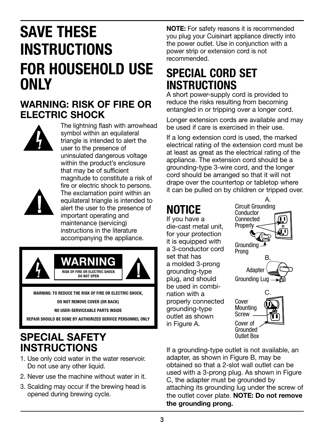# SAVE THESE **INSTRUCTIONS** FOR HOUSEHOLD USE ONLY

### WARNING: RISK OF FIRE OR ELECTRIC SHOCK



The lightning flash with arrowhead symbol within an equilateral triangle is intended to alert the user to the presence of uninsulated dangerous voltage within the product's enclosure that may be of sufficient magnitude to constitute a risk of fire or electric shock to persons. The exclamation point within an equilateral triangle is intended to alert the user to the presence of important operating and maintenance (servicing) instructions in the literature accompanying the appliance.



WARNING: TO REDUCE THE RISK OF FIRE OR ELECTRIC SHOCK,

DO NOT REMOVE COVER (OR BACK)

NO USER-SERVICEABLE PARTS INSIDE

REPAIR SHOULD BE DONE BY AUTHORIZED SERVICE PERSONNEL ONLY

### SPECIAL SAFETY INSTRUCTIONS

- 1. Use only cold water in the water reservoir. Do not use any other liquid.
- 2. Never use the machine without water in it.
- 3. Scalding may occur if the brewing head is opened during brewing cycle.

NOTE: For safety reasons it is recommended you plug your Cuisinart appliance directly into the power outlet. Use in conjunction with a power strip or extension cord is not recommended.

### **SPECIAL CORD SET INSTRUCTIONS**

A short power-supply cord is provided to reduce the risks resulting from becoming entangled in or tripping over a longer cord.

Longer extension cords are available and may be used if care is exercised in their use.

If a long extension cord is used, the marked electrical rating of the extension cord must be at least as great as the electrical rating of the appliance. The extension cord should be a grounding-type 3-wire cord, and the longer cord should be arranged so that it will not drape over the countertop or tabletop where it can be pulled on by children or tripped over.

# **NOTICE**

If you have a die-cast metal unit, for your protection it is equipped with a 3-conductor cord set that has a molded 3-prong grounding-type plug, and should be used in combination with a properly connected grounding-type outlet as shown in Figure A.



If a grounding-type outlet is not available, an adapter, as shown in Figure B, may be obtained so that a 2-slot wall outlet can be used with a 3-prong plug. As shown in Figure C, the adapter must be grounded by attaching its grounding lug under the screw of the outlet cover plate. NOTE: Do not remove the grounding prong.

Outlet Box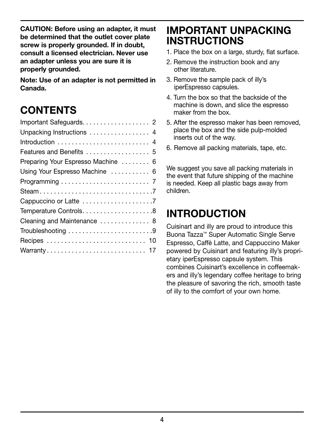CAUTION: Before using an adapter, it must be determined that the outlet cover plate screw is properly grounded. If in doubt, consult a licensed electrician. Never use an adapter unless you are sure it is properly grounded.

Note: Use of an adapter is not permitted in Canada.

### **CONTENTS**

| Unpacking Instructions  4          |
|------------------------------------|
|                                    |
| Features and Benefits  5           |
| Preparing Your Espresso Machine  6 |
| Using Your Espresso Machine  6     |
|                                    |
|                                    |
|                                    |
|                                    |
| Cleaning and Maintenance  8        |
|                                    |
|                                    |
|                                    |
|                                    |

### IMPORTANT UNPACKING **INSTRUCTIONS**

- 1. Place the box on a large, sturdy, flat surface.
- 2. Remove the instruction book and any other literature.
- 3. Remove the sample pack of illy's iperEspresso capsules.
- 4. Turn the box so that the backside of the machine is down, and slice the espresso maker from the box.
- 5. After the espresso maker has been removed, place the box and the side pulp-molded inserts out of the way.
- 6. Remove all packing materials, tape, etc.

We suggest you save all packing materials in the event that future shipping of the machine is needed. Keep all plastic bags away from children.

### INTRODUCTION

Cuisinart and illy are proud to introduce this Buona Tazza™ Super Automatic Single Serve Espresso, Caffè Latte, and Cappuccino Maker powered by Cuisinart and featuring illy's proprietary iperEspresso capsule system. This combines Cuisinart's excellence in coffeemakers and illy's legendary coffee heritage to bring the pleasure of savoring the rich, smooth taste of illy to the comfort of your own home.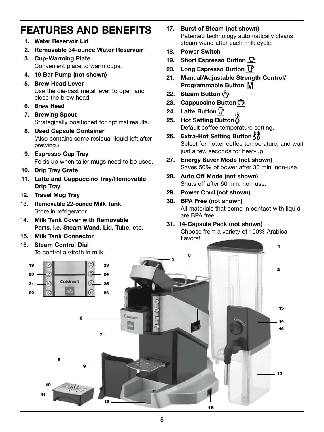### FEATURES AND BENEFITS

- 1. Water Reservoir Lid
- 2. Removable 34-ounce Water Reservoir
- 3. Cup-Warming Plate Convenient place to warm cups.
- 4. 19 Bar Pump (not shown)
- 5. Brew Head Lever

Use the die-cast metal lever to open and close the brew head.

- 6. Brew Head
- 7. Brewing Spout Strategically positioned for optimal results.
- 8. Used Capsule Container (Also contains some residual liquid left after brewing.)
- 9. Espresso Cup Tray Folds up when taller mugs need to be used.
- 10. Drip Tray Grate
- 11. Latte and Cappuccino Tray/Removable Drip Tray
- 12. Travel Mug Tray
- 13. Removable 22-ounce Milk Tank Store in refrigerator.
- 14. Milk Tank Cover with Removable Parts, i.e. Steam Wand, Lid, Tube, etc.
- 15. Milk Tank Connector

#### 16. Steam Control Dial

- 17. Burst of Steam (not shown) Patented technology automatically cleans steam wand after each milk cycle.
- 18. Power Switch
- 19. Short Espresso Button  $\nabla$
- 20. Long Espresso Button  $\mathbb{\Gamma}$
- 21. Manual/Adjustable Strength Control/ Programmable Button
- 22. Steam Button  $\zeta^{\mathbb{N}}$
- 23. Cappuccino Button  $\bar{\mathbb{C}}$
- 24. Latte Button  $\bar{\mathbb{P}}$
- 25. Hot Setting Button  $\delta$ Default coffee temperature setting.
- 26. Extra-Hot Setting Button 88 Select for hotter coffee temperature, and wait just a few seconds for heat-up.
- 27. Energy Saver Mode (not shown) Saves 50% of power after 30 min. non-use.
- 28. Auto Off Mode (not shown) Shuts off after 60 min. non-use.
- 29. Power Cord (not shown)
- 30. BPA Free (not shown) All materials that come in contact with liquid are BPA free.

#### 31. 14-Capsule Pack (not shown)

Choose from a variety of 100% Arabica flavors!

1 2 <sup>3</sup> <sup>5</sup> 7 6 8 9 10 11 12 13 18 19  $\boxed{2}$  23 20  $\leftarrow$  24  $21 - 25$ **22**  $\rightarrow$  0  $\rightarrow$  10  $\rightarrow$  10  $\rightarrow$  26 14 16 15 To control air/froth in milk.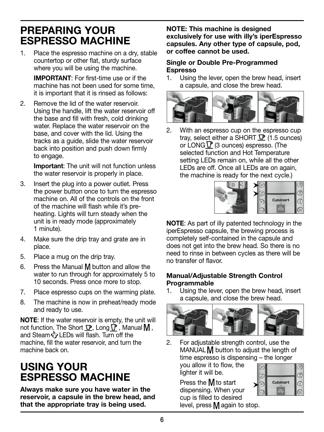### PREPARING YOUR ESPRESSO MACHINE

1. Place the espresso machine on a dry, stable countertop or other flat, sturdy surface where you will be using the machine.

 IMPORTANT: For first-time use or if the machine has not been used for some time, it is important that it is rinsed as follows:

2. Remove the lid of the water reservoir. Using the handle, lift the water reservoir off the base and fill with fresh, cold drinking water. Replace the water reservoir on the base, and cover with the lid. Using the tracks as a guide, slide the water reservoir back into position and push down firmly to engage.

> Important: The unit will not function unless the water reservoir is properly in place.

- 3. Insert the plug into a power outlet. Press the power button once to turn the espresso machine on. All of the controls on the front of the machine will flash while it's preheating. Lights will turn steady when the unit is in ready mode (approximately 1 minute).
- 4. Make sure the drip tray and grate are in place.
- 5. Place a mug on the drip tray.
- 6. Press the Manual  $M$  button and allow the water to run through for approximately 5 to 10 seconds. Press once more to stop.
- 7. Place espresso cups on the warming plate.
- 8. The machine is now in preheat/ready mode and ready to use.

NOTE: If the water reservoir is empty, the unit will not function. The Short  $\nabla$ , Long  $\nabla$ , Manual  $M$ , and Steam  $\langle \cdot \rangle$  LEDs will flash. Turn off the machine, fill the water reservoir, and turn the machine back on.

### USING YOUR ESPRESSO MACHINE

Always make sure you have water in the reservoir, a capsule in the brew head, and that the appropriate tray is being used.

NOTE: This machine is designed exclusively for use with illy's iperEspresso capsules. Any other type of capsule, pod, or coffee cannot be used.

#### Single or Double Pre-Programmed Espresso

1. Using the lever, open the brew head, insert a capsule, and close the brew head.



2. With an espresso cup on the espresso cup tray, select either a SHORT  $\mathbf{\mathcal{P}}$  (1.5 ounces) or LONG  $\Gamma$  (3 ounces) espresso. (The selected function and Hot Temperature setting LEDs remain on, while all the other LEDs are off. Once all LEDs are on again, the machine is ready for the next cycle.)



NOTE: As part of illy patented technology in the iperEspresso capsule, the brewing process is completely self-contained in the capsule and does not get into the brew head. So there is no need to rinse in between cycles as there will be no transfer of flavor.

#### Manual/Adjustable Strength Control Programmable

1. Using the lever, open the brew head, insert a capsule, and close the brew head.



2. For adjustable strength control, use the MANUAL  $M$  button to adjust the length of time espresso is dispensing – the longer

you allow it to flow, the lighter it will be.

|  | <b>Cuisinart</b> |  |
|--|------------------|--|
|  |                  |  |

Press the M<sub>to start</sub> dispensing. When your cup is filled to desired level, press  $M$  again to stop.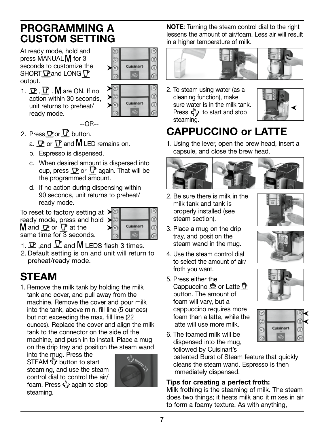### PROGRAMMING A CUSTOM SETTING

At ready mode, hold and press MANUAL M for 3 seconds to customize the SHORT  $\mathbf \nabla$  and LONG  $\mathbf \nabla$ output.

1.  $\mathbf{P}$ ,  $\mathbf{P}$ , M are ON. If no action within 30 seconds, unit returns to preheat/ ready mode.



Cuisinart

- --OR-- 2. Press  $\mathbf P$  or  $\mathbf P$  button.
	- a.  $\mathbf{\mathbf{\Phi}}$  or  $\mathbf{\nabla}$  and  $\mathbf{M}$  LED remains on.
	- b. Espresso is dispensed.
	- c. When desired amount is dispersed into cup, press  $\nabla$  or  $\nabla$  again. That will be the programmed amount.
	- d. If no action during dispensing within 90 seconds, unit returns to preheat/ ready mode.

To reset to factory setting at  $\geq$ ready mode, press and hold >  $M$  and  $D$  or  $D$  at the  $\frac{1}{\text{same time}}$  for  $\frac{1}{3}$  seconds.



- 1.  $\mathbf{\Psi}$  and  $\mathbf{\Psi}$  and  $\mathbf{\mathsf{M}}$  LEDS flash 3 times.
- 2. Default setting is on and unit will return to preheat/ready mode.

### **STFAM**

1. Remove the milk tank by holding the milk tank and cover, and pull away from the machine. Remove the cover and pour milk into the tank, above min. fill line (5 ounces) but not exceeding the max. fill line (22 ounces). Replace the cover and align the milk tank to the connector on the side of the machine, and push in to install. Place a mug

on the drip tray and position the steam wand<br>into the mug. Press the<br> $\frac{1}{2}$ <br> $\frac{1}{2}$ <br> $\frac{1}{2}$ <br> $\frac{1}{2}$ <br> $\frac{1}{2}$ <br> $\frac{1}{2}$ <br> $\frac{1}{2}$ into the mug. Press the STEAM  $\ddot{\mathbf{v}}$  button to start steaming, and use the steam control dial to control the air/ foam. Press  $\overset{\text{{\tiny (h)}}}{\longleftrightarrow}$  again to stop steaming.



NOTE: Turning the steam control dial to the right lessens the amount of air/foam. Less air will result in a higher temperature of milk.



2. To steam using water (as a cleaning function), make sure water is in the milk tank. Press  $\langle \cdot \rangle$  to start and stop steaming.



### CAPPUCCINO or LATTE

1. Using the lever, open the brew head, insert a capsule, and close the brew head.

- 2. Be sure there is milk in the milk tank and tank is properly installed (see steam section).
- 3. Place a mug on the drip tray, and position the steam wand in the mug.
- 4. Use the steam control dial to select the amount of air/ froth you want.
- 5. Press either the Cappuccino  $\bar{\mathbb{C}}$  or Latte  $\bar{\mathbb{P}}$ button. The amount of foam will vary, but a cappuccino requires more foam than a latte, while the latte will use more milk.
- 6. The foamed milk will be dispensed into the mug, followed by Cuisinart's

patented Burst of Steam feature that quickly cleans the steam wand. Espresso is then immediately dispensed.

### Tips for creating a perfect froth:

Milk frothing is the steaming of milk. The steam does two things; it heats milk and it mixes in air to form a foamy texture. As with anything,







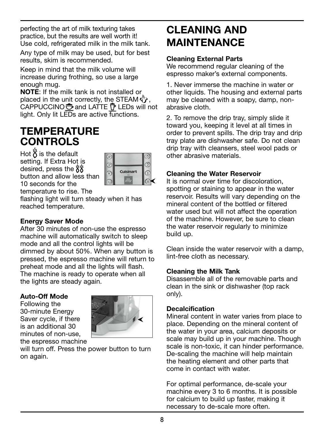perfecting the art of milk texturing takes practice, but the results are well worth it! Use cold, refrigerated milk in the milk tank.

Any type of milk may be used, but for best results, skim is recommended.

Keep in mind that the milk volume will increase during frothing, so use a large enough mug.

NOTE: If the milk tank is not installed or placed in the unit correctly, the STEAM  $\langle \rangle$ . CAPPUCCINO  $\bigoplus$  and LATTE  $\bigoplus$  LEDs will not light. Only lit LEDs are active functions.

### **TEMPERATURE** CONTROLS

Hot  $\ddot{\delta}$  is the default setting. If Extra Hot is desired, press the  $88$ button and allow less than 10 seconds for the temperature to rise. The



flashing light will turn steady when it has reached temperature.

#### Energy Saver Mode

After 30 minutes of non-use the espresso machine will automatically switch to sleep mode and all the control lights will be dimmed by about 50%. When any button is pressed, the espresso machine will return to preheat mode and all the lights will flash. The machine is ready to operate when all the lights are steady again.

#### Auto-Off Mode

Following the 30-minute Energy Saver cycle, if there is an additional 30 minutes of non-use, the espresso machine



will turn off. Press the power button to turn on again.

### CLEANING AND MAINTENANCE

#### Cleaning External Parts

We recommend regular cleaning of the espresso maker's external components.

1. Never immerse the machine in water or other liquids. The housing and external parts may be cleaned with a soapy, damp, nonabrasive cloth.

2. To remove the drip tray, simply slide it toward you, keeping it level at all times in order to prevent spills. The drip tray and drip tray plate are dishwasher safe. Do not clean drip tray with cleansers, steel wool pads or other abrasive materials.

#### Cleaning the Water Reservoir

It is normal over time for discoloration, spotting or staining to appear in the water reservoir. Results will vary depending on the mineral content of the bottled or filtered water used but will not affect the operation of the machine. However, be sure to clean the water reservoir regularly to minimize build up.

Clean inside the water reservoir with a damp, lint-free cloth as necessary.

#### Cleaning the Milk Tank

Disassemble all of the removable parts and clean in the sink or dishwasher (top rack only).

#### **Decalcification**

Mineral content in water varies from place to place. Depending on the mineral content of the water in your area, calcium deposits or scale may build up in your machine. Though scale is non-toxic, it can hinder performance. De-scaling the machine will help maintain the heating element and other parts that come in contact with water.

For optimal performance, de-scale your machine every 3 to 6 months. It is possible for calcium to build up faster, making it necessary to de-scale more often.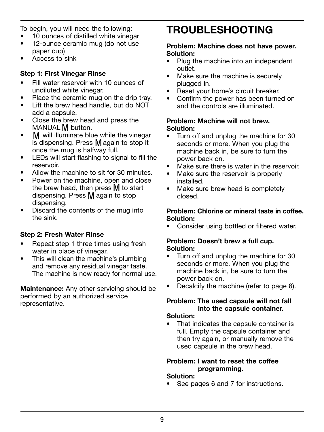To begin, you will need the following:

- 10 ounces of distilled white vinegar
- 12-ounce ceramic mug (do not use paper cup)
- Access to sink

#### Step 1: First Vinegar Rinse

- Fill water reservoir with 10 ounces of undiluted white vinegar.
- Place the ceramic mug on the drip tray.
- Lift the brew head handle, but do NOT add a capsule.
- Close the brew head and press the MANUAL **M** button.
- M will illuminate blue while the vinegar is dispensing. Press  $M$  again to stop it once the mug is halfway full.
- LEDs will start flashing to signal to fill the reservoir.
- Allow the machine to sit for 30 minutes
- Power on the machine, open and close the brew head, then press  $M$  to start dispensing. Press  $M$  again to stop dispensing.
- Discard the contents of the mug into the sink.

#### Step 2: Fresh Water Rinse

- Repeat step 1 three times using fresh water in place of vinegar.
- This will clean the machine's plumbing and remove any residual vinegar taste. The machine is now ready for normal use.

Maintenance: Any other servicing should be performed by an authorized service representative.

### TROUBLESHOOTING

#### Problem: Machine does not have power. Solution:

- Plug the machine into an independent outlet.
- Make sure the machine is securely plugged in.
- Reset your home's circuit breaker.
- Confirm the power has been turned on and the controls are illuminated.

#### Problem: Machine will not brew. Solution:

- Turn off and unplug the machine for 30 seconds or more. When you plug the machine back in, be sure to turn the power back on.
- Make sure there is water in the reservoir.
- Make sure the reservoir is properly installed.
- Make sure brew head is completely closed.

#### Problem: Chlorine or mineral taste in coffee. Solution:

Consider using bottled or filtered water.

#### Problem: Doesn't brew a full cup. Solution:

- Turn off and unplug the machine for 30 seconds or more. When you plug the machine back in, be sure to turn the power back on.
- Decalcify the machine (refer to page 8).

#### Problem: The used capsule will not fall into the capsule container.

#### Solution:

That indicates the capsule container is full. Empty the capsule container and then try again, or manually remove the used capsule in the brew head.

#### Problem: I want to reset the coffee programming.

#### Solution:

• See pages 6 and 7 for instructions.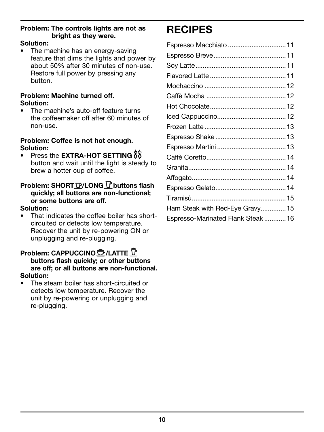#### Problem: The controls lights are not as bright as they were.

#### Solution:

The machine has an energy-saving feature that dims the lights and power by about 50% after 30 minutes of non-use. Restore full power by pressing any button.

#### Problem: Machine turned off. Solution:

The machine's auto-off feature turns the coffeemaker off after 60 minutes of non-use.

#### Problem: Coffee is not hot enough. Solution:

• Press the EXTRA-HOT SETTING  $88$ button and wait until the light is steady to brew a hotter cup of coffee.

#### Problem: SHORT *D*/LONG *D* buttons flash quickly; all buttons are non-functional; or some buttons are off.

#### Solution:

That indicates the coffee boiler has shortcircuited or detects low temperature. Recover the unit by re-powering ON or unplugging and re-plugging.

### Problem: CAPPUCCINO <del>◯</del>/LATTE <sup>T</sup>

#### buttons flash quickly; or other buttons are off; or all buttons are non-functional. Solution:

The steam boiler has short-circuited or detects low temperature. Recover the unit by re-powering or unplugging and re-plugging.

### RECIPES

| Espresso Macchiato  11            |  |
|-----------------------------------|--|
|                                   |  |
|                                   |  |
|                                   |  |
|                                   |  |
|                                   |  |
|                                   |  |
|                                   |  |
|                                   |  |
|                                   |  |
|                                   |  |
|                                   |  |
|                                   |  |
|                                   |  |
|                                   |  |
|                                   |  |
| Ham Steak with Red-Eye Gravy15    |  |
| Espresso-Marinated Flank Steak 16 |  |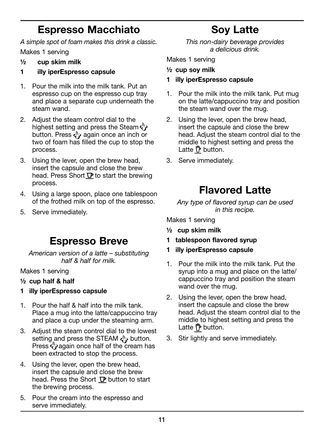### Espresso Macchiato

A simple spot of foam makes this drink a classic.

Makes 1 serving

- $\frac{1}{2}$  cup skim milk
- 1 illy iperEspresso capsule
- 1. Pour the milk into the milk tank. Put an espresso cup on the espresso cup tray and place a separate cup underneath the steam wand.
- 2. Adjust the steam control dial to the highest setting and press the Steam  $\langle \psi \rangle$ button. Press  $\epsilon_{ij}^{\mathbb{N}}$  again once an inch or two of foam has filled the cup to stop the process.
- 3. Using the lever, open the brew head, insert the capsule and close the brew head. Press Short  $\nabla$  to start the brewing process.
- 4. Using a large spoon, place one tablespoon of the frothed milk on top of the espresso.
- 5. Serve immediately.

### Espresso Breve

American version of a latte – substituting half & half for milk.

Makes 1 serving

- ½ cup half & half
- 1 illy iperEspresso capsule
- 1. Pour the half & half into the milk tank. Place a mug into the latte/cappuccino tray and place a cup under the steaming arm.
- 3. Adjust the steam control dial to the lowest setting and press the STEAM  $\overset{\circ}{\leftarrow}$  button. Press  $\overline{\mathbf{C}}$  again once half of the cream has been extracted to stop the process.
- 4. Using the lever, open the brew head, insert the capsule and close the brew head. Press the Short  $\nabla$  button to start the brewing process.
- 5. Pour the cream into the espresso and serve immediately.

Soy Latte

This non-dairy beverage provides a delicious drink.

Makes 1 serving

½ cup soy milk

- 1 illy iperEspresso capsule
- 1. Pour the milk into the milk tank. Put mug on the latte/cappuccino tray and position the steam wand over the mug.
- 2. Using the lever, open the brew head, insert the capsule and close the brew head. Adjust the steam control dial to the middle to highest setting and press the Latte  $\bar{\nabla}$  button.
- 3. Serve immediately.

### Flavored Latte

Any type of flavored syrup can be used in this recipe.

Makes 1 serving

- ½ cup skim milk
- 1 tablespoon flavored syrup
- 1 illy iperEspresso capsule
- 1. Pour the milk into the milk tank. Put the syrup into a mug and place on the latte/ cappuccino tray and position the steam wand over the mug.
- 2. Using the lever, open the brew head, insert the capsule and close the brew head. Adjust the steam control dial to the middle to highest setting and press the Latte  $\bar{\mathsf{P}}$  button.
- 3. Stir lightly and serve immediately.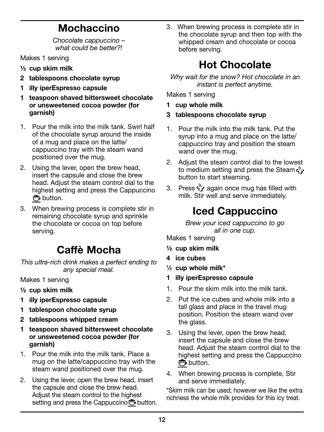### Mochaccino

Chocolate cappuccino – what could be better?

Makes 1 serving

- $\frac{1}{2}$  cup skim milk
- 2 tablespoons chocolate syrup
- 1 illy iperEspresso capsule
- 1 teaspoon shaved bittersweet chocolate or unsweetened cocoa powder (for garnish)
- 1. Pour the milk into the milk tank. Swirl half of the chocolate syrup around the inside of a mug and place on the latte/ cappuccino tray with the steam wand positioned over the mug.
- 2. Using the lever, open the brew head, insert the capsule and close the brew head. Adjust the steam control dial to the highest setting and press the Cappuccino  $\bigoplus$  button.
- 3. When brewing process is complete stir in remaining chocolate syrup and sprinkle the chocolate or cocoa on top before serving.

### Caffè Mocha

This ultra-rich drink makes a perfect ending to any special meal.

Makes 1 serving

- ½ cup skim milk
- 1 illy iperEspresso capsule
- 1 tablespoon chocolate syrup
- 2 tablespoons whipped cream
- 1 teaspoon shaved bittersweet chocolate or unsweetened cocoa powder (for garnish)
- 1. Pour the milk into the milk tank. Place a mug on the latte/cappuccino tray with the steam wand positioned over the mug.
- 2. Using the lever, open the brew head, insert the capsule and close the brew head. Adjust the steam control to the highest setting and press the Cappuccino  $\bigoplus$  button.

3. When brewing process is complete stir in the chocolate syrup and then top with the whipped cream and chocolate or cocoa before serving.

### Hot Chocolate

Why wait for the snow? Hot chocolate in an instant is perfect anytime.

Makes 1 serving

- 1 cup whole milk
- 3 tablespoons chocolate syrup
- 1. Pour the milk into the milk tank. Put the syrup into a mug and place on the latte/ cappuccino tray and position the steam wand over the mug.
- 2. Adjust the steam control dial to the lowest to medium setting and press the Steam  $\zeta$ button to start steaming.
- 3. Press  $\sqrt[n]{}$  again once mug has filled with milk. Stir well and serve immediately.

### Iced Cappuccino

Brew your iced cappuccino to go all in one cup.

Makes 1 serving

- $\frac{1}{2}$  cup skim milk
- 4 ice cubes
- 1 ⁄3 cup whole milk\*
- 1 illy iperEspresso capsule
- 1. Pour the skim milk into the milk tank.
- 2. Put the ice cubes and whole milk into a tall glass and place in the travel mug position. Position the steam wand over the glass.
- 3. Using the lever, open the brew head, insert the capsule and close the brew head. Adjust the steam control dial to the highest setting and press the Cappuccino  $\bigoplus$  button.
- 4. When brewing process is complete, Stir and serve immediately.

\*Skim milk can be used; however we like the extra richness the whole milk provides for this icy treat.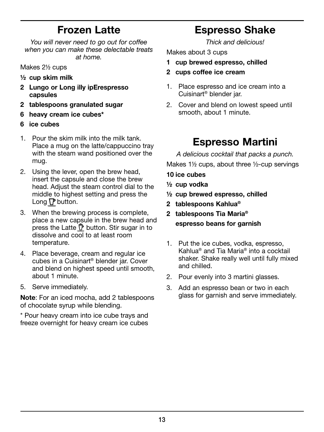### Frozen Latte

You will never need to go out for coffee when you can make these delectable treats at home.

Makes 2½ cups

- ½ cup skim milk
- 2 Lungo or Long illy ipErespresso capsules
- 2 tablespoons granulated sugar
- 6 heavy cream ice cubes\*
- 6 ice cubes
- 1. Pour the skim milk into the milk tank. Place a mug on the latte/cappuccino tray with the steam wand positioned over the mug.
- 2. Using the lever, open the brew head, insert the capsule and close the brew head. Adjust the steam control dial to the middle to highest setting and press the Long  $\nabla$  button.
- 3. When the brewing process is complete, place a new capsule in the brew head and press the Latte  $\widehat{\mathbb{P}}$  button. Stir sugar in to dissolve and cool to at least room temperature.
- 4. Place beverage, cream and regular ice cubes in a Cuisinart® blender jar. Cover and blend on highest speed until smooth, about 1 minute.
- 5. Serve immediately.

Note: For an iced mocha, add 2 tablespoons of chocolate syrup while blending.

\* Pour heavy cream into ice cube trays and freeze overnight for heavy cream ice cubes

### Espresso Shake

Thick and delicious!

Makes about 3 cups

- 1 cup brewed espresso, chilled
- 2 cups coffee ice cream
- 1. Place espresso and ice cream into a Cuisinart® blender jar.
- 2. Cover and blend on lowest speed until smooth, about 1 minute.

### Espresso Martini

A delicious cocktail that packs a punch.

Makes 1½ cups, about three ½-cup servings

- 10 ice cubes
- ½ cup vodka
- ½ cup brewed espresso, chilled
- 2 tablespoons Kahlua®
- 2 tablespoons Tia Maria® espresso beans for garnish
- 1. Put the ice cubes, vodka, espresso, Kahlua® and Tia Maria® into a cocktail shaker. Shake really well until fully mixed and chilled.
- 2. Pour evenly into 3 martini glasses.
- 3. Add an espresso bean or two in each glass for garnish and serve immediately.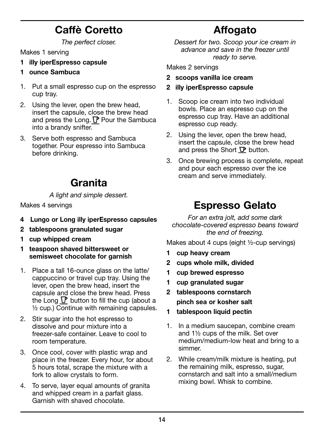### Caffè Coretto

The perfect closer.

Makes 1 serving

- 1 illy iperEspresso capsule
- 1 ounce Sambuca
- 1. Put a small espresso cup on the espresso cup tray.
- 2. Using the lever, open the brew head, insert the capsule, close the brew head and press the Long.  $P$  Pour the Sambuca into a brandy snifter.
- 3. Serve both espresso and Sambuca together. Pour espresso into Sambuca before drinking.

### Granita

A light and simple dessert.

Makes 4 servings

- 4 Lungo or Long illy iperEspresso capsules
- 2 tablespoons granulated sugar
- 1 cup whipped cream
- 1 teaspoon shaved bittersweet or semisweet chocolate for garnish
- 1. Place a tall 16-ounce glass on the latte/ cappuccino or travel cup tray. Using the lever, open the brew head, insert the capsule and close the brew head. Press the Long  $\Gamma$  button to fill the cup (about a ½ cup.) Continue with remaining capsules.
- 2. Stir sugar into the hot espresso to dissolve and pour mixture into a freezer-safe container. Leave to cool to room temperature.
- 3. Once cool, cover with plastic wrap and place in the freezer. Every hour, for about 5 hours total, scrape the mixture with a fork to allow crystals to form.
- 4. To serve, layer equal amounts of granita and whipped cream in a parfait glass. Garnish with shaved chocolate.

## Affogato

Dessert for two. Scoop your ice cream in advance and save in the freezer until ready to serve.

Makes 2 servings

- 2 scoops vanilla ice cream
- 2 illy iperEspresso capsule
- 1. Scoop ice cream into two individual bowls. Place an espresso cup on the espresso cup tray. Have an additional espresso cup ready.
- 2. Using the lever, open the brew head, insert the capsule, close the brew head and press the Short  $\mathbf{\mathcal{P}}$  button.
- 3. Once brewing process is complete, repeat and pour each espresso over the ice cream and serve immediately.

### Espresso Gelato

For an extra jolt, add some dark chocolate-covered espresso beans toward the end of freezing.

Makes about 4 cups (eight ½-cup servings)

- 1 cup heavy cream
- 2 cups whole milk, divided
- 1 cup brewed espresso
- 1 cup granulated sugar
- 2 tablespoons cornstarch pinch sea or kosher salt
- 1 tablespoon liquid pectin
- 1. In a medium saucepan, combine cream and 1½ cups of the milk. Set over medium/medium-low heat and bring to a simmer.
- 2. While cream/milk mixture is heating, put the remaining milk, espresso, sugar, cornstarch and salt into a small/medium mixing bowl. Whisk to combine.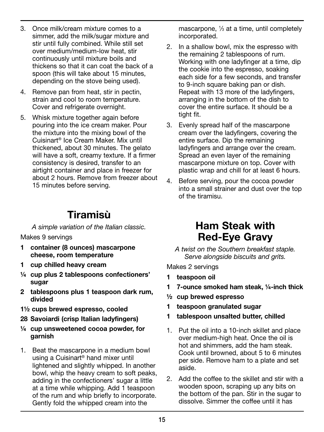- 3. Once milk/cream mixture comes to a simmer, add the milk/sugar mixture and stir until fully combined. While still set over medium/medium-low heat, stir continuously until mixture boils and thickens so that it can coat the back of a spoon (this will take about 15 minutes, depending on the stove being used).
- 4. Remove pan from heat, stir in pectin, strain and cool to room temperature. Cover and refrigerate overnight.
- 5. Whisk mixture together again before pouring into the ice cream maker. Pour the mixture into the mixing bowl of the Cuisinart® Ice Cream Maker. Mix until thickened, about 30 minutes. The gelato will have a soft, creamy texture. If a firmer consistency is desired, transfer to an airtight container and place in freezer for about 2 hours. Remove from freezer about 15 minutes before serving.

### Tiramisù

A simple variation of the Italian classic.

Makes 9 servings

- 1 container (8 ounces) mascarpone cheese, room temperature
- 1 cup chilled heavy cream
- ¼ cup plus 2 tablespoons confectioners' sugar
- 2 tablespoons plus 1 teaspoon dark rum, divided
- 1½ cups brewed espresso, cooled
- 28 Savoiardi (crisp Italian ladyfingers)
- ¼ cup unsweetened cocoa powder, for garnish
- 1. Beat the mascarpone in a medium bowl using a Cuisinart® hand mixer until lightened and slightly whipped. In another bowl, whip the heavy cream to soft peaks, adding in the confectioners' sugar a little at a time while whipping. Add 1 teaspoon of the rum and whip briefly to incorporate. Gently fold the whipped cream into the

mascarpone, 1 ⁄3 at a time, until completely incorporated.

- 2. In a shallow bowl, mix the espresso with the remaining 2 tablespoons of rum. Working with one ladyfinger at a time, dip the cookie into the espresso, soaking each side for a few seconds, and transfer to 9-inch square baking pan or dish. Repeat with 13 more of the ladyfingers, arranging in the bottom of the dish to cover the entire surface. It should be a tight fit.
- 3. Evenly spread half of the mascarpone cream over the ladyfingers, covering the entire surface. Dip the remaining ladyfingers and arrange over the cream. Spread an even layer of the remaining mascarpone mixture on top. Cover with plastic wrap and chill for at least 6 hours.
- 4. Before serving, pour the cocoa powder into a small strainer and dust over the top of the tiramisu.

### Ham Steak with Red-Eye Gravy

A twist on the Southern breakfast staple. Serve alongside biscuits and grits.

Makes 2 servings

- 1 teaspoon oil
- 1 7-ounce smoked ham steak, ¼-inch thick
- ½ cup brewed espresso
- 1 teaspoon granulated sugar
- 1 tablespoon unsalted butter, chilled
- 1. Put the oil into a 10-inch skillet and place over medium-high heat. Once the oil is hot and shimmers, add the ham steak. Cook until browned, about 5 to 6 minutes per side. Remove ham to a plate and set aside.
- 2. Add the coffee to the skillet and stir with a wooden spoon, scraping up any bits on the bottom of the pan. Stir in the sugar to dissolve. Simmer the coffee until it has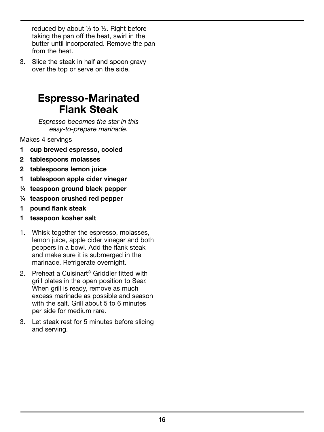reduced by about  $\frac{1}{3}$  to  $\frac{1}{2}$ . Right before taking the pan off the heat, swirl in the butter until incorporated. Remove the pan from the heat.

3. Slice the steak in half and spoon gravy over the top or serve on the side.

### Espresso-Marinated Flank Steak

Espresso becomes the star in this easy-to-prepare marinade.

Makes 4 servings

- 1 cup brewed espresso, cooled
- 2 tablespoons molasses
- 2 tablespoons lemon juice
- 1 tablespoon apple cider vinegar
- ¼ teaspoon ground black pepper
- ¼ teaspoon crushed red pepper
- 1 pound flank steak
- 1 teaspoon kosher salt
- 1. Whisk together the espresso, molasses, lemon juice, apple cider vinegar and both peppers in a bowl. Add the flank steak and make sure it is submerged in the marinade. Refrigerate overnight.
- 2. Preheat a Cuisinart® Griddler fitted with grill plates in the open position to Sear. When grill is ready, remove as much excess marinade as possible and season with the salt. Grill about 5 to 6 minutes per side for medium rare.
- 3. Let steak rest for 5 minutes before slicing and serving.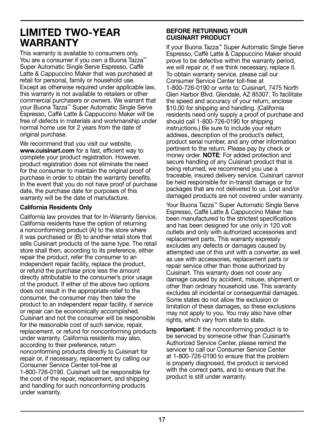### LIMITED TWO-YEAR WARRANTY

This warranty is available to consumers only. You are a consumer if you own a Buona Tazza™ Super Automatic Single Serve Espresso, Caffè Latte & Cappuccino Maker that was purchased at retail for personal, family or household use. Except as otherwise required under applicable law, this warranty is not available to retailers or other commercial purchasers or owners. We warrant that your Buona Tazza™ Super Automatic Single Serve Espresso, Caffè Latte & Cappuccino Maker will be free of defects in materials and workmanship under normal home use for 2 years from the date of original purchase.

We recommend that you visit our website, www.cuisinart.com for a fast, efficient way to complete your product registration. However, product registration does not eliminate the need for the consumer to maintain the original proof of purchase in order to obtain the warranty benefits. In the event that you do not have proof of purchase date, the purchase date for purposes of this warranty will be the date of manufacture.

#### California Residents Only

California law provides that for In-Warranty Service, California residents have the option of returning a nonconforming product (A) to the store where it was purchased or (B) to another retail store that sells Cuisinart products of the same type. The retail store shall then, according to its preference, either repair the product, refer the consumer to an independent repair facility, replace the product, or refund the purchase price less the amount directly attributable to the consumer's prior usage of the product. If either of the above two options does not result in the appropriate relief to the consumer, the consumer may then take the product to an independent repair facility, if service or repair can be economically accomplished. Cuisinart and not the consumer will be responsible for the reasonable cost of such service, repair, replacement, or refund for nonconforming products under warranty. California residents may also, according to their preference, return nonconforming products directly to Cuisinart for repair or, if necessary, replacement by calling our Consumer Service Center toll-free at 1-800-726-0190. Cuisinart will be responsible for the cost of the repair, replacement, and shipping and handling for such nonconforming products under warranty.

#### BEFORE RETURNING YOUR CUISINART PRODUCT

If your Buona Tazza™ Super Automatic Single Serve Espresso, Caffè Latte & Cappuccino Maker should prove to be defective within the warranty period, we will repair or, if we think necessary, replace it. To obtain warranty service, please call our Consumer Service Center toll-free at 1-800-726-0190 or write to: Cuisinart, 7475 North Glen Harbor Blvd. Glendale, AZ 85307. To facilitate the speed and accuracy of your return, enclose \$10.00 for shipping and handling. (California residents need only supply a proof of purchase and should call 1-800-726-0190 for shipping instructions.) Be sure to include your return address, description of the product's defect, product serial number, and any other information pertinent to the return. Please pay by check or money order. **NOTE:** For added protection and secure handling of any Cuisinart product that is being returned, we recommend you use a traceable, insured delivery service. Cuisinart cannot be held responsible for in-transit damage or for packages that are not delivered to us. Lost and/or damaged products are not covered under warranty.

Your Buona Tazza™ Super Automatic Single Serve Espresso, Caffè Latte & Cappuccino Maker has been manufactured to the strictest specifications and has been designed for use only in 120 volt outlets and only with authorized accessories and replacement parts. This warranty expressly excludes any defects or damages caused by attempted use of this unit with a converter, as well as use with accessories, replacement parts or repair service other than those authorized by Cuisinart. This warranty does not cover any damage caused by accident, misuse, shipment or other than ordinary household use. This warranty excludes all incidental or consequential damages. Some states do not allow the exclusion or limitation of these damages, so these exclusions may not apply to you. You may also have other rights, which vary from state to state.

Important: If the nonconforming product is to be serviced by someone other than Cuisinart's Authorized Service Center, please remind the servicer to call our Consumer Service Center at 1-800-726-0190 to ensure that the problem is properly diagnosed, the product is serviced with the correct parts, and to ensure that the product is still under warranty.